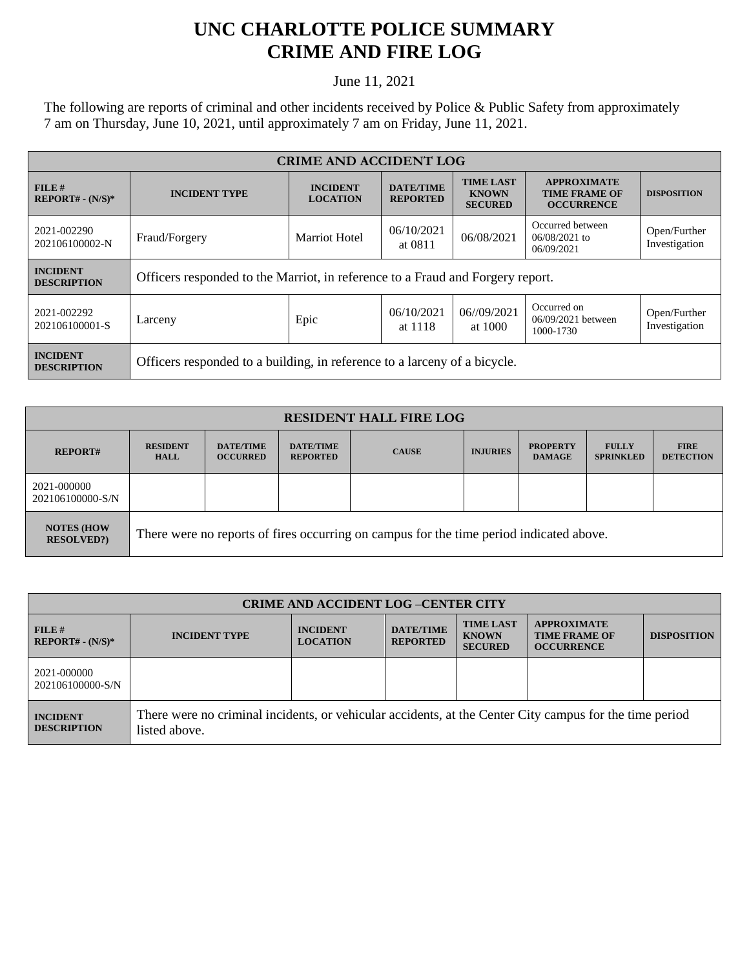## **UNC CHARLOTTE POLICE SUMMARY CRIME AND FIRE LOG**

June 11, 2021

The following are reports of criminal and other incidents received by Police & Public Safety from approximately 7 am on Thursday, June 10, 2021, until approximately 7 am on Friday, June 11, 2021.

| <b>CRIME AND ACCIDENT LOG</b>         |                                                                                |                                    |                                     |                                                    |                                                                 |                               |
|---------------------------------------|--------------------------------------------------------------------------------|------------------------------------|-------------------------------------|----------------------------------------------------|-----------------------------------------------------------------|-------------------------------|
| FILE H<br>$REPORT# - (N/S)*$          | <b>INCIDENT TYPE</b>                                                           | <b>INCIDENT</b><br><b>LOCATION</b> | <b>DATE/TIME</b><br><b>REPORTED</b> | <b>TIME LAST</b><br><b>KNOWN</b><br><b>SECURED</b> | <b>APPROXIMATE</b><br><b>TIME FRAME OF</b><br><b>OCCURRENCE</b> | <b>DISPOSITION</b>            |
| 2021-002290<br>202106100002-N         | Fraud/Forgery                                                                  | <b>Marriot Hotel</b>               | 06/10/2021<br>at 0811               | 06/08/2021                                         | Occurred between<br>$06/08/2021$ to<br>06/09/2021               | Open/Further<br>Investigation |
| <b>INCIDENT</b><br><b>DESCRIPTION</b> | Officers responded to the Marriot, in reference to a Fraud and Forgery report. |                                    |                                     |                                                    |                                                                 |                               |
| 2021-002292<br>202106100001-S         | Larceny                                                                        | Epic                               | 06/10/2021<br>at 1118               | 06/09/2021<br>at 1000                              | Occurred on<br>06/09/2021 between<br>1000-1730                  | Open/Further<br>Investigation |
| <b>INCIDENT</b><br><b>DESCRIPTION</b> | Officers responded to a building, in reference to a larceny of a bicycle.      |                                    |                                     |                                                    |                                                                 |                               |

| <b>RESIDENT HALL FIRE LOG</b>          |                                                                                         |                                     |                                     |              |                 |                                  |                                  |                                 |
|----------------------------------------|-----------------------------------------------------------------------------------------|-------------------------------------|-------------------------------------|--------------|-----------------|----------------------------------|----------------------------------|---------------------------------|
| <b>REPORT#</b>                         | <b>RESIDENT</b><br><b>HALL</b>                                                          | <b>DATE/TIME</b><br><b>OCCURRED</b> | <b>DATE/TIME</b><br><b>REPORTED</b> | <b>CAUSE</b> | <b>INJURIES</b> | <b>PROPERTY</b><br><b>DAMAGE</b> | <b>FULLY</b><br><b>SPRINKLED</b> | <b>FIRE</b><br><b>DETECTION</b> |
| 2021-000000<br>202106100000-S/N        |                                                                                         |                                     |                                     |              |                 |                                  |                                  |                                 |
| <b>NOTES (HOW</b><br><b>RESOLVED?)</b> | There were no reports of fires occurring on campus for the time period indicated above. |                                     |                                     |              |                 |                                  |                                  |                                 |

| <b>CRIME AND ACCIDENT LOG-CENTER CITY</b> |                                                                                                                          |                                    |                                     |                                                    |                                                                 |                    |  |
|-------------------------------------------|--------------------------------------------------------------------------------------------------------------------------|------------------------------------|-------------------------------------|----------------------------------------------------|-----------------------------------------------------------------|--------------------|--|
| FILE H<br>$REPORT# - (N/S)*$              | <b>INCIDENT TYPE</b>                                                                                                     | <b>INCIDENT</b><br><b>LOCATION</b> | <b>DATE/TIME</b><br><b>REPORTED</b> | <b>TIME LAST</b><br><b>KNOWN</b><br><b>SECURED</b> | <b>APPROXIMATE</b><br><b>TIME FRAME OF</b><br><b>OCCURRENCE</b> | <b>DISPOSITION</b> |  |
| 2021-000000<br>202106100000-S/N           |                                                                                                                          |                                    |                                     |                                                    |                                                                 |                    |  |
| <b>INCIDENT</b><br><b>DESCRIPTION</b>     | There were no criminal incidents, or vehicular accidents, at the Center City campus for the time period<br>listed above. |                                    |                                     |                                                    |                                                                 |                    |  |